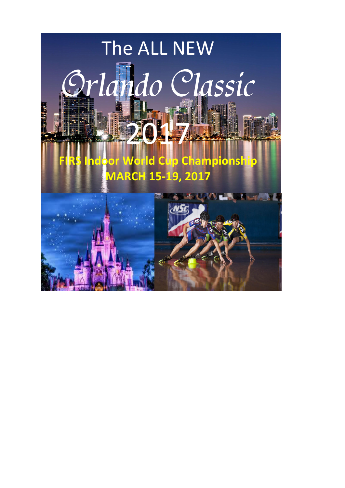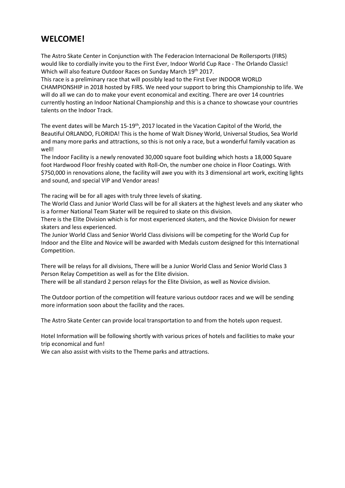# **WELCOME!**

The Astro Skate Center in Conjunction with The Federacion Internacional De Rollersports (FIRS) would like to cordially invite you to the First Ever, Indoor World Cup Race - The Orlando Classic! Which will also feature Outdoor Races on Sunday March 19<sup>th</sup> 2017.

This race is a preliminary race that will possibly lead to the First Ever INDOOR WORLD CHAMPIONSHIP in 2018 hosted by FIRS. We need your support to bring this Championship to life. We will do all we can do to make your event economical and exciting. There are over 14 countries currently hosting an Indoor National Championship and this is a chance to showcase your countries talents on the Indoor Track.

The event dates will be March 15-19<sup>th</sup>, 2017 located in the Vacation Capitol of the World, the Beautiful ORLANDO, FLORIDA! This is the home of Walt Disney World, Universal Studios, Sea World and many more parks and attractions, so this is not only a race, but a wonderful family vacation as well!

The Indoor Facility is a newly renovated 30,000 square foot building which hosts a 18,000 Square foot Hardwood Floor freshly coated with Roll-On, the number one choice in Floor Coatings. With \$750,000 in renovations alone, the facility will awe you with its 3 dimensional art work, exciting lights and sound, and special VIP and Vendor areas!

The racing will be for all ages with truly three levels of skating.

The World Class and Junior World Class will be for all skaters at the highest levels and any skater who is a former National Team Skater will be required to skate on this division.

There is the Elite Division which is for most experienced skaters, and the Novice Division for newer skaters and less experienced.

The Junior World Class and Senior World Class divisions will be competing for the World Cup for Indoor and the Elite and Novice will be awarded with Medals custom designed for this International Competition.

There will be relays for all divisions, There will be a Junior World Class and Senior World Class 3 Person Relay Competition as well as for the Elite division.

There will be all standard 2 person relays for the Elite Division, as well as Novice division.

The Outdoor portion of the competition will feature various outdoor races and we will be sending more information soon about the facility and the races.

The Astro Skate Center can provide local transportation to and from the hotels upon request.

Hotel Information will be following shortly with various prices of hotels and facilities to make your trip economical and fun!

We can also assist with visits to the Theme parks and attractions.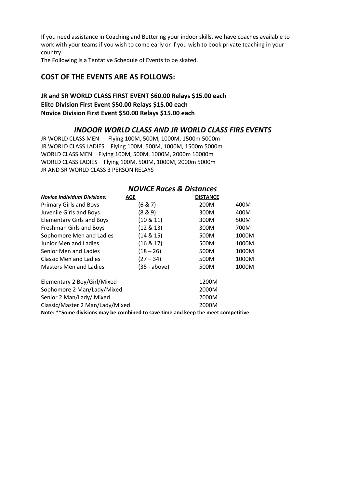If you need assistance in Coaching and Bettering your indoor skills, we have coaches available to work with your teams if you wish to come early or if you wish to book private teaching in your country.

The Following is a Tentative Schedule of Events to be skated.

## **COST OF THE EVENTS ARE AS FOLLOWS:**

## **JR and SR WORLD CLASS FIRST EVENT \$60.00 Relays \$15.00 each Elite Division First Event \$50.00 Relays \$15.00 each Novice Division First Event \$50.00 Relays \$15.00 each**

## *INDOOR WORLD CLASS AND JR WORLD CLASS FIRS EVENTS*

JR WORLD CLASS MEN Flying 100M, 500M, 1000M, 1500m 5000m JR WORLD CLASS LADIES Flying 100M, 500M, 1000M, 1500m 5000m WORLD CLASS MEN Flying100M, 500M, 1000M, 2000m 10000m WORLD CLASS LADIES Flying 100M, 500M, 1000M, 2000m 5000m JR AND SR WORLD CLASS 3 PERSON RELAYS

| <b>NOVICE Races &amp; Distances</b>                                                |                |                 |       |  |
|------------------------------------------------------------------------------------|----------------|-----------------|-------|--|
| <b>Novice Individual Divisions:</b>                                                | AGE            | <b>DISTANCE</b> |       |  |
| Primary Girls and Boys                                                             | (6 & 7)        | 200M            | 400M  |  |
| Juvenile Girls and Boys                                                            | (8 & 9)        | 300M            | 400M  |  |
| <b>Elementary Girls and Boys</b>                                                   | $(10 \& 11)$   | 300M            | 500M  |  |
| Freshman Girls and Boys                                                            | $(12 \& 13)$   | 300M            | 700M  |  |
| Sophomore Men and Ladies                                                           | (14 & 15)      | 500M            | 1000M |  |
| Junior Men and Ladies                                                              | $(16 \& 17)$   | 500M            | 1000M |  |
| Senior Men and Ladies                                                              | $(18 - 26)$    | 500M            | 1000M |  |
| Classic Men and Ladies                                                             | $(27 - 34)$    | 500M            | 1000M |  |
| <b>Masters Men and Ladies</b>                                                      | $(35 - above)$ | 500M            | 1000M |  |
| Elementary 2 Boy/Girl/Mixed                                                        |                | 1200M           |       |  |
| Sophomore 2 Man/Lady/Mixed                                                         |                | 2000M           |       |  |
| Senior 2 Man/Lady/ Mixed                                                           |                | 2000M           |       |  |
| Classic/Master 2 Man/Lady/Mixed                                                    |                | 2000M           |       |  |
| Note: ** Some divisions may be combined to save time and keep the meet competitive |                |                 |       |  |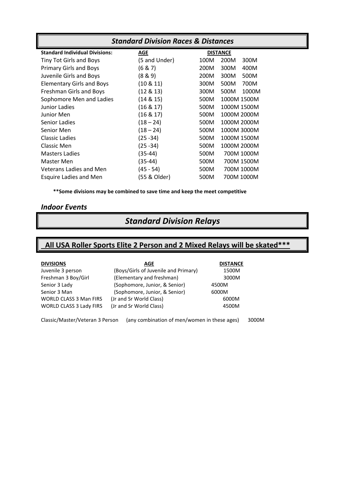| <b>Standard Division Races &amp; Distances</b> |               |                       |  |
|------------------------------------------------|---------------|-----------------------|--|
| <b>Standard Individual Divisions:</b>          | <b>AGE</b>    | <b>DISTANCE</b>       |  |
| Tiny Tot Girls and Boys                        | (5 and Under) | 200M<br>300M<br>100M  |  |
| <b>Primary Girls and Boys</b>                  | (6 & 7)       | 200M<br>300M<br>400M  |  |
| Juvenile Girls and Boys                        | (8 & 9)       | 200M<br>300M<br>500M  |  |
| <b>Elementary Girls and Boys</b>               | $(10 \& 11)$  | 300M<br>500M<br>700M  |  |
| Freshman Girls and Boys                        | $(12 \& 13)$  | 300M<br>500M<br>1000M |  |
| Sophomore Men and Ladies                       | (14 & 15)     | 500M<br>1000M 1500M   |  |
| Junior Ladies                                  | $(16 \& 17)$  | 500M<br>1000M 1500M   |  |
| Junior Men                                     | $(16 \& 17)$  | 500M<br>1000M 2000M   |  |
| Senior Ladies                                  | $(18 - 24)$   | 500M<br>1000M 2000M   |  |
| Senior Men                                     | $(18 - 24)$   | 500M<br>1000M 3000M   |  |
| Classic Ladies                                 | $(25 - 34)$   | 500M<br>1000M 1500M   |  |
| Classic Men                                    | (25 - 34)     | 500M<br>1000M 2000M   |  |
| <b>Masters Ladies</b>                          | $(35-44)$     | 500M<br>700M 1000M    |  |
| Master Men                                     | (35-44)       | 500M<br>700M 1500M    |  |
| Veterans Ladies and Men                        | $(45 - 54)$   | 500M<br>700M 1000M    |  |
| <b>Esquire Ladies and Men</b>                  | (55 & Older)  | 500M<br>700M 1000M    |  |

**\*\*Some divisions may be combined to save time and keep the meet competitive**

# *Indoor Events*

# *Standard Division Relays*

# **All USA Roller Sports Elite 2 Person and 2 Mixed Relays will be skated\*\*\***

| <b>DIVISIONS</b>        | AGE                                  | <b>DISTANCE</b> |
|-------------------------|--------------------------------------|-----------------|
| Juvenile 3 person       | (Boys/Girls of Juvenile and Primary) | 1500M           |
| Freshman 3 Boy/Girl     | (Elementary and freshman)            | 3000M           |
| Senior 3 Lady           | (Sophomore, Junior, & Senior)        | 4500M           |
| Senior 3 Man            | (Sophomore, Junior, & Senior)        | 6000M           |
| WORLD CLASS 3 Man FIRS  | (Jr and Sr World Class)              | 6000M           |
| WORLD CLASS 3 Lady FIRS | (Jr and Sr World Class)              | 4500M           |
|                         |                                      |                 |

Classic/Master/Veteran 3 Person (any combination of men/women in these ages) 3000M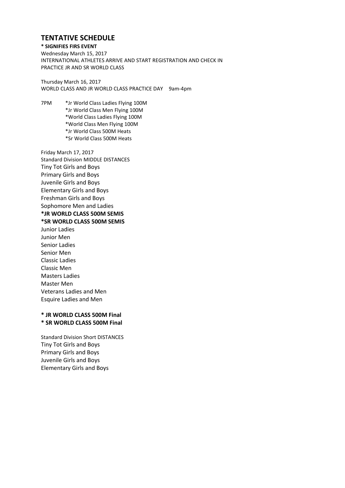# **TENTATIVE SCHEDULE**

#### **\* SIGNIFIES FIRS EVENT**

Wednesday March 15, 2017 INTERNATIONAL ATHLETES ARRIVE AND START REGISTRATION AND CHECK IN PRACTICE JR AND SR WORLD CLASS

Thursday March 16, 2017 WORLD CLASS AND JR WORLD CLASS PRACTICE DAY 9am-4pm

7PM \*Jr World Class Ladies Flying 100M \*Jr World Class Men Flying 100M \*World Class Ladies Flying 100M \*World Class Men Flying 100M \*Jr World Class 500M Heats \*Sr World Class 500M Heats

Friday March 17, 2017 Standard Division MIDDLE DISTANCES Tiny Tot Girls and Boys Primary Girls and Boys Juvenile Girls and Boys Elementary Girls and Boys Freshman Girls and Boys Sophomore Men and Ladies **\*JR WORLD CLASS 500M SEMIS \*SR WORLD CLASS 500M SEMIS** Junior Ladies Junior Men Senior Ladies Senior Men Classic Ladies Classic Men Masters Ladies Master Men Veterans Ladies and Men Esquire Ladies and Men

#### **\* JR WORLD CLASS 500M Final \* SR WORLD CLASS 500M Final**

Standard Division Short DISTANCES Tiny Tot Girls and Boys Primary Girls and Boys Juvenile Girls and Boys Elementary Girls and Boys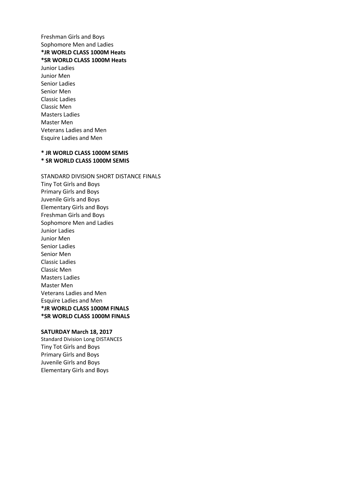Freshman Girls and Boys Sophomore Men and Ladies **\*JR WORLD CLASS 1000M Heats \*SR WORLD CLASS 1000M Heats** Junior Ladies Junior Men Senior Ladies Senior Men

Classic Ladies Classic Men Masters Ladies Master Men Veterans Ladies and Men Esquire Ladies and Men

#### **\* JR WORLD CLASS 1000M SEMIS \* SR WORLD CLASS 1000M SEMIS**

STANDARD DIVISION SHORT DISTANCE FINALS Tiny Tot Girls and Boys Primary Girls and Boys Juvenile Girls and Boys Elementary Girls and Boys Freshman Girls and Boys Sophomore Men and Ladies Junior Ladies Junior Men Senior Ladies Senior Men Classic Ladies Classic Men Masters Ladies Master Men Veterans Ladies and Men Esquire Ladies and Men **\*JR WORLD CLASS 1000M FINALS \*SR WORLD CLASS 1000M FINALS**

#### **SATURDAY March 18, 2017**

Standard Division Long DISTANCES Tiny Tot Girls and Boys Primary Girls and Boys Juvenile Girls and Boys Elementary Girls and Boys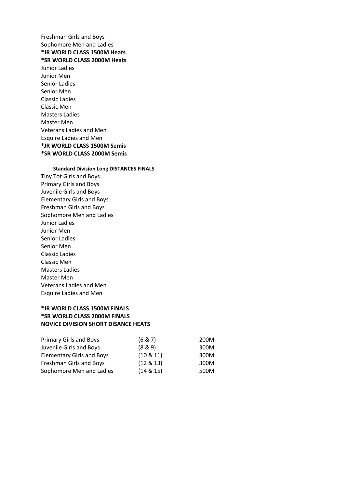Freshman Girls and Boys Sophomore Men and Ladies **\*JR WORLD CLASS 1500M Heats \*SR WORLD CLASS 2000M Heats** Junior Ladies Junior Men Senior Ladies Senior Men Classic Ladies Classic Men Masters Ladies Master Men Veterans Ladies and Men Esquire Ladies and Men

# **\*JR WORLD CLASS 1500M Semis \*SR WORLD CLASS 2000M Semis**

**Standard Division Long DISTANCES FINALS** Tiny Tot Girls and Boys Primary Girls and Boys Juvenile Girls and Boys Elementary Girls and Boys Freshman Girls and Boys Sophomore Men and Ladies Junior Ladies Junior Men Senior Ladies Senior Men Classic Ladies Classic Men Masters Ladies Master Men Veterans Ladies and Men Esquire Ladies and Men

### **\*JR WORLD CLASS 1500M FINALS \*SR WORLD CLASS 2000M FINALS NOVICE DIVISION SHORT DISANCE HEATS**

| <b>Primary Girls and Boys</b> | (6 & 7)      | 200M |  |
|-------------------------------|--------------|------|--|
| Juvenile Girls and Boys       | (8 & 9)      | 300M |  |
| Elementary Girls and Boys     | $(10 \& 11)$ | 300M |  |
| Freshman Girls and Boys       | $(12 \& 13)$ | 300M |  |
| Sophomore Men and Ladies      | $(14 \& 15)$ | 500M |  |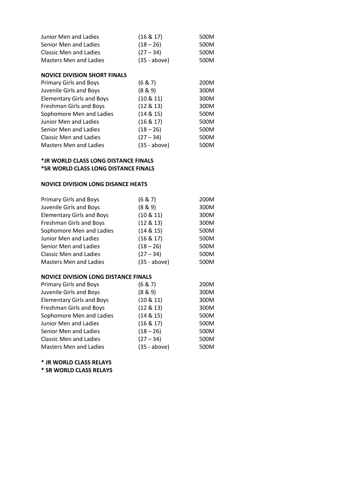| Junior Men and Ladies               | $(16 \& 17)$ | 500M |  |
|-------------------------------------|--------------|------|--|
| Senior Men and Ladies               | $(18 - 26)$  | 500M |  |
| <b>Classic Men and Ladies</b>       | $(27 - 34)$  | 500M |  |
| <b>Masters Men and Ladies</b>       | (35 - above) | 500M |  |
| <b>NOVICE DIVISION SHORT FINALS</b> |              |      |  |
| <b>Primary Girls and Boys</b>       | (6 & 7)      | 200M |  |
| Juvenile Girls and Boys             | (8 & 9)      | 300M |  |
| <b>Elementary Girls and Boys</b>    | $(10 \& 11)$ | 300M |  |
| Freshman Girls and Boys             | (12 & 13)    | 300M |  |
| Sophomore Men and Ladies            | (14 & 15)    | 500M |  |
| Junior Men and Ladies               | $(16 \& 17)$ | 500M |  |
| Senior Men and Ladies               | $(18 - 26)$  | 500M |  |
| Classic Men and Ladies              | (27 – 34)    | 500M |  |
| <b>Masters Men and Ladies</b>       | (35 - above) | 500M |  |

#### **\*JR WORLD CLASS LONG DISTANCE FINALS \*SR WORLD CLASS LONG DISTANCE FINALS**

#### **NOVICE DIVISION LONG DISANCE HEATS**

| <b>Primary Girls and Boys</b>    | (6 & 7)      | 200M |  |
|----------------------------------|--------------|------|--|
| Juvenile Girls and Boys          | (8 & 9)      | 300M |  |
| <b>Elementary Girls and Boys</b> | $(10 \& 11)$ | 300M |  |
| Freshman Girls and Boys          | (12 & 13)    | 300M |  |
| Sophomore Men and Ladies         | (14 & 15)    | 500M |  |
| Junior Men and Ladies            | $(16 \& 17)$ | 500M |  |
| Senior Men and Ladies            | $(18 - 26)$  | 500M |  |
| <b>Classic Men and Ladies</b>    | $(27 - 34)$  | 500M |  |
| <b>Masters Men and Ladies</b>    | (35 - above) | 500M |  |

### **NOVICE DIVISION LONG DISTANCE FINALS**

| <b>Primary Girls and Boys</b>    | (6 & 7)      | 200M |  |
|----------------------------------|--------------|------|--|
| Juvenile Girls and Boys          | (8 & 9)      | 300M |  |
| <b>Elementary Girls and Boys</b> | $(10 \& 11)$ | 300M |  |
| Freshman Girls and Boys          | $(12 \& 13)$ | 300M |  |
| Sophomore Men and Ladies         | (14 & 15)    | 500M |  |
| Junior Men and Ladies            | $(16 \& 17)$ | 500M |  |
| Senior Men and Ladies            | $(18 - 26)$  | 500M |  |
| <b>Classic Men and Ladies</b>    | $(27 - 34)$  | 500M |  |
| <b>Masters Men and Ladies</b>    | (35 - above) | 500M |  |

**\* JR WORLD CLASS RELAYS**

**\* SR WORLD CLASS RELAYS**